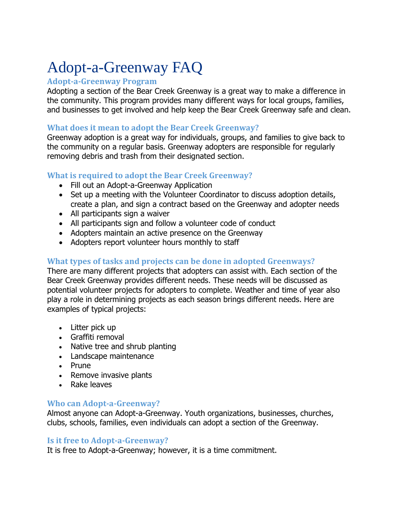# Adopt-a-Greenway FAQ

#### **Adopt-a-Greenway Program**

Adopting a section of the Bear Creek Greenway is a great way to make a difference in the community. This program provides many different ways for local groups, families, and businesses to get involved and help keep the Bear Creek Greenway safe and clean.

## **What does it mean to adopt the Bear Creek Greenway?**

Greenway adoption is a great way for individuals, groups, and families to give back to the community on a regular basis. Greenway adopters are responsible for regularly removing debris and trash from their designated section.

## **What is required to adopt the Bear Creek Greenway?**

- Fill out an Adopt-a-Greenway Application
- Set up a meeting with the Volunteer Coordinator to discuss adoption details, create a plan, and sign a contract based on the Greenway and adopter needs
- All participants sign a waiver
- All participants sign and follow a volunteer code of conduct
- Adopters maintain an active presence on the Greenway
- Adopters report volunteer hours monthly to staff

## **What types of tasks and projects can be done in adopted Greenways?**

There are many different projects that adopters can assist with. Each section of the Bear Creek Greenway provides different needs. These needs will be discussed as potential volunteer projects for adopters to complete. Weather and time of year also play a role in determining projects as each season brings different needs. Here are examples of typical projects:

- Litter pick up
- Graffiti removal
- Native tree and shrub planting
- Landscape maintenance
- Prune
- Remove invasive plants
- Rake leaves

#### **Who can Adopt-a-Greenway?**

Almost anyone can Adopt-a-Greenway. Youth organizations, businesses, churches, clubs, schools, families, even individuals can adopt a section of the Greenway.

#### **Is it free to Adopt-a-Greenway?**

It is free to Adopt-a-Greenway; however, it is a time commitment.